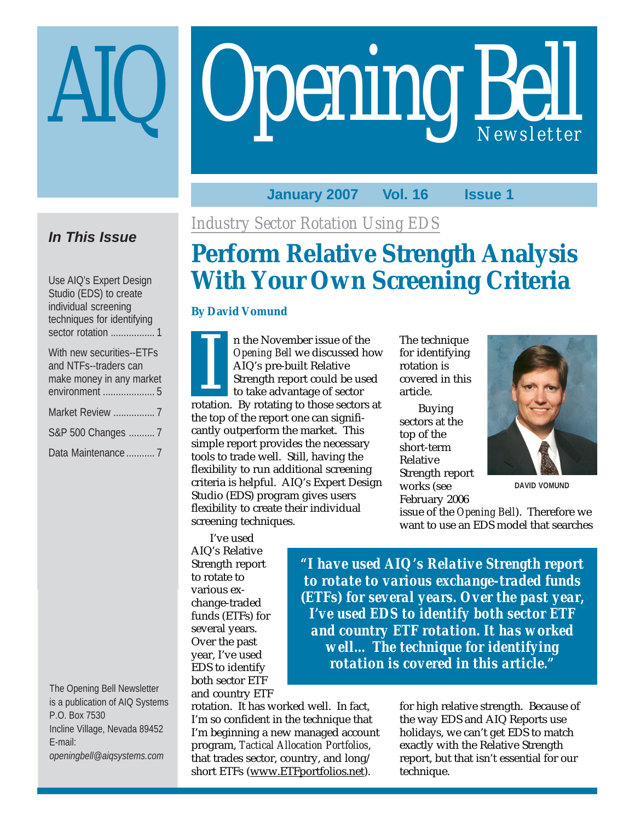# Opening Bell

## **January 2007 Vol. 16 Issue 1**

## **In This Issue**

Use AIQ's Expert Design Studio (EDS) to create individual screening techniques for identifying sector rotation ................. 1

| With new securities--ETFs                         |
|---------------------------------------------------|
| and NTFs--traders can<br>make money in any market |
|                                                   |
| Market Review  7                                  |
| S&P 500 Changes  7                                |
| Data Maintenance  7                               |

The Opening Bell Newsletter is a publication of AIQ Systems P.O. Box 7530 Incline Village, Nevada 89452 E-mail: *openingbell@aiqsystems.com*

*Industry Sector Rotation Using EDS*

# **Perform Relative Strength Analysis With Your Own Screening Criteria**

The technique for identifying rotation is covered in this

Buying sectors at the top of the short-term Relative

Strength report works (see February 2006

article.

## **By David Vomund**

n the November issue of the *Opening Bell* we discussed how AIQ's pre-built Relative Strength report could be used to take advantage of sector rotation. By rotating to those sectors at<br>
The involvement side of the<br>
Strength report could be used<br>
to take advantage of sector<br>
rotation. By rotating to those sectors at the top of the report one can significantly outperform the market. This simple report provides the necessary tools to trade well. Still, having the flexibility to run additional screening criteria is helpful. AIQ's Expert Design Studio (EDS) program gives users flexibility to create their individual screening techniques.

I've used AIQ's Relative Strength report to rotate to various exchange-traded funds (ETFs) for several years. Over the past year, I've used EDS to identify both sector ETF and country ETF

*"I have used AIQ's Relative Strength report to rotate to various exchange-traded funds (ETFs) for several years. Over the past year, I've used EDS to identify both sector ETF and country ETF rotation. It has worked well… The technique for identifying rotation is covered in this article."*

rotation. It has worked well. In fact, I'm so confident in the technique that I'm beginning a new managed account program, *Tactical Allocation Portfolios*, that trades sector, country, and long/ short ETFs (www.ETFportfolios.net).

for high relative strength. Because of the way EDS and AIQ Reports use holidays, we can't get EDS to match exactly with the Relative Strength report, but that isn't essential for our technique.



**DAVID VOMUND**

issue of the *Opening Bell*). Therefore we want to use an EDS model that searches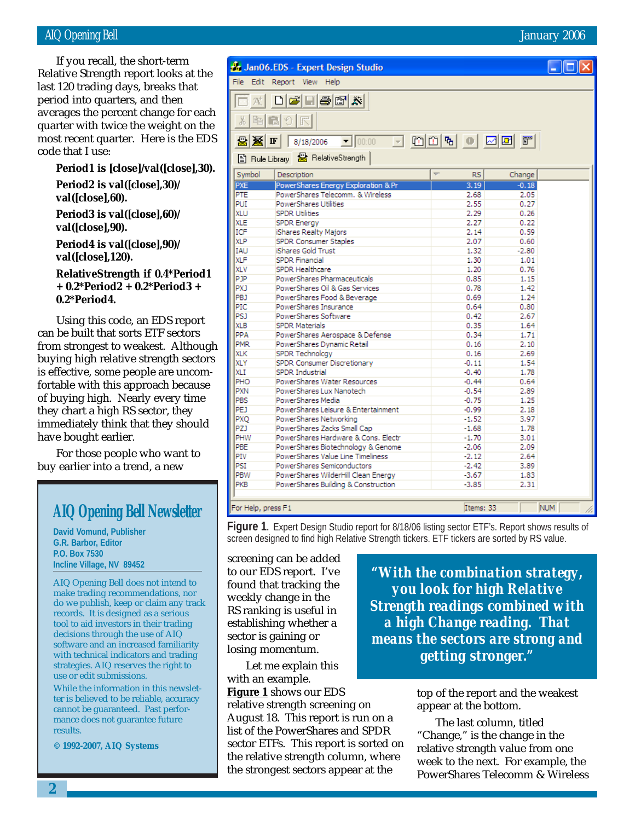## AIQ Opening Bell January 2006

period into quarters, and then If you recall, the short-term Relative Strength report looks at the last 120 trading days, breaks that averages the percent change for each quarter with twice the weight on the most recent quarter. Here is the EDS code that I use:

**Period1 is [close]/val([close],30).**

**Period2 is val([close],30)/ val([close],60).**

**Period3 is val([close],60)/ val([close],90).**

**Period4 is val([close],90)/ val([close],120).**

**RelativeStrength if 0.4\*Period1 + 0.2\*Period2 + 0.2\*Period3 + 0.2\*Period4.**

Using this code, an EDS report can be built that sorts ETF sectors from strongest to weakest. Although buying high relative strength sectors is effective, some people are uncomfortable with this approach because of buying high. Nearly every time they chart a high RS sector, they immediately think that they should have bought earlier.

For those people who want to buy earlier into a trend, a new

## **AIQ Opening Bell Newsletter**

**David Vomund, Publisher G.R. Barbor, Editor P.O. Box 7530 Incline Village, NV 89452**

AIQ Opening Bell does not intend to make trading recommendations, nor do we publish, keep or claim any track records. It is designed as a serious tool to aid investors in their trading decisions through the use of AIQ software and an increased familiarity with technical indicators and trading strategies. AIQ reserves the right to use or edit submissions.

While the information in this newsletter is believed to be reliable, accuracy cannot be guaranteed. Past performance does not guarantee future results.

**© 1992-2007, AIQ Systems**

Jan06.EDS - Expert Design Studio

ta de la de

File Edit Report View Help

| $\frac{1}{20}$     | 电自っ尺                                |                |            |  |
|--------------------|-------------------------------------|----------------|------------|--|
| 墨图 IF              | 8/18/2006                           |                |            |  |
|                    | 图 Rule Library 图 RelativeStrength   |                |            |  |
| Symbol             | Description                         | <b>RS</b><br>Ψ | Change     |  |
| PXE                | PowerShares Energy Exploration & Pr | 3.19           | $-0.18$    |  |
| PTE                | PowerShares Telecomm, & Wireless    | 2.68           | 2.05       |  |
| PUI                | PowerShares Utilities               | 2.55           | 0.27       |  |
| XLU                | <b>SPDR Utilities</b>               | 2.29           | 0.26       |  |
| <b>XLE</b>         | <b>SPDR Energy</b>                  | 2.27           | 0.22       |  |
| ICF                | iShares Realty Majors               | 2.14           | 0.59       |  |
| <b>XLP</b>         | SPDR Consumer Staples               | 2.07           | 0.60       |  |
| <b>IAU</b>         | iShares Gold Trust                  | 1.32           | $-2.80$    |  |
| <b>XLF</b>         | <b>SPDR Financial</b>               | 1.30           | 1.01       |  |
| <b>XLV</b>         | SPDR Healthcare                     | 1,20           | 0.76       |  |
| PJP                | PowerShares Pharmaceuticals         | 0.85           | 1.15       |  |
| <b>PXJ</b>         | PowerShares Oil & Gas Services      | 0.78           | 1.42       |  |
| PBJ                | PowerShares Food & Beverage         | 0.69           | 1.24       |  |
| PIC                | PowerShares Insurance               | 0.64           | 0.80       |  |
| PSJ                | PowerShares Software                | 0.42           | 2.67       |  |
| <b>XLB</b>         | <b>SPDR Materials</b>               | 0.35           | 1.64       |  |
| PPA                | PowerShares Aerospace & Defense     | 0.34           | 1.71       |  |
| <b>PMR</b>         | PowerShares Dynamic Retail          | 0.16           | 2.10       |  |
| <b>XLK</b>         | SPDR Technolcgy                     | 0.16           | 2.69       |  |
| <b>XLY</b>         | SPDR Consumer Discretionary         | $-0.11$        | 1.54       |  |
| XLI                | SPDR Industrial                     | $-0.40$        | 1.78       |  |
| PHO                | PowerShares Water Resources         | $-0.44$        | 0.64       |  |
| <b>PXN</b>         | PowerShares Lux Nanotech            | $-0.54$        | 2.89       |  |
| PBS                | PowerShares Media                   | $-0.75$        | 1.25       |  |
| PEJ                | PowerShares Leisure & Entertainment | $-0.99$        | 2.18       |  |
| PXO                | PowerShares Networking              | $-1.52$        | 3.97       |  |
| PZJ                | PowerShares Zacks Small Cap         | $-1.68$        | 1.78       |  |
| PHW                | PowerShares Hardware & Cons, Electr | $-1.70$        | 3.01       |  |
| PBE                | PowerShares Biotechnology & Genome  | $-2.06$        | 2.09       |  |
| PIV                | PowerShares Value Line Timeliness   | $-2.12$        | 2.64       |  |
| PSI                | PowerShares Semiconductors          | $-2.42$        | 3.89       |  |
| PBW                | PowerShares WilderHill Clean Energy | $-3.67$        | 1.83       |  |
| PKB                | PowerShares Building & Construction | $-3.85$        | 2.31       |  |
| For Help, press F1 |                                     | Items: 33      | <b>NUM</b> |  |

## For Help, press F1

**Figure 1.** Expert Design Studio report for 8/18/06 listing sector ETF's. Report shows results of screen designed to find high Relative Strength tickers. ETF tickers are sorted by RS value.

screening can be added to our EDS report. I've found that tracking the weekly change in the RS ranking is useful in establishing whether a sector is gaining or losing momentum.

Let me explain this with an example.

**Figure 1** shows our EDS relative strength screening on August 18. This report is run on a list of the PowerShares and SPDR sector ETFs. This report is sorted on the relative strength column, where the strongest sectors appear at the

*"With the combination strategy, you look for high Relative Strength readings combined with a high Change reading. That means the sectors are strong and getting stronger."*

> top of the report and the weakest appear at the bottom.

The last column, titled "Change," is the change in the relative strength value from one week to the next. For example, the PowerShares Telecomm & Wireless

<u> - II all</u> x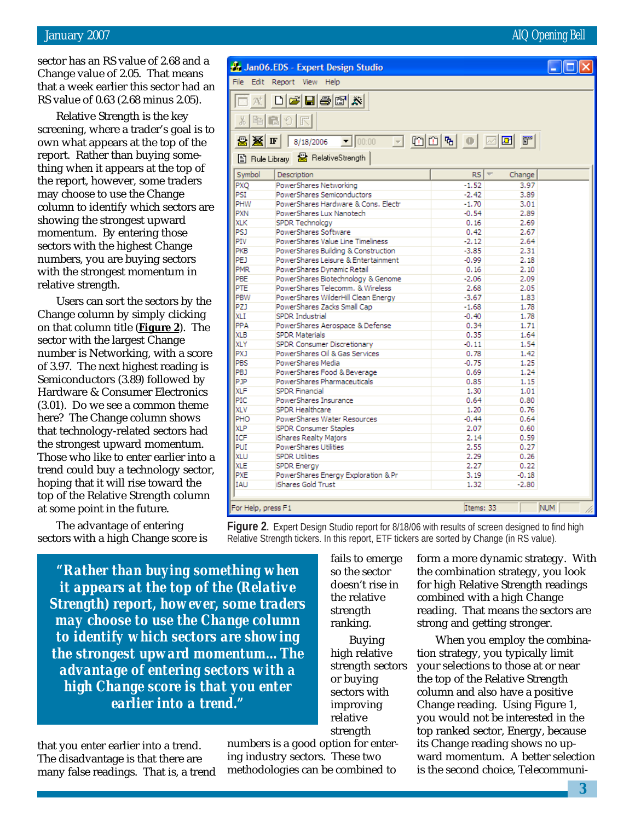sector has an RS value of 2.68 and a Change value of 2.05. That means that a week earlier this sector had an RS value of 0.63 (2.68 minus 2.05).

Relative Strength is the key screening, where a trader's goal is to own what appears at the top of the report. Rather than buying something when it appears at the top of the report, however, some traders may choose to use the Change column to identify which sectors are showing the strongest upward momentum. By entering those sectors with the highest Change numbers, you are buying sectors with the strongest momentum in relative strength.

Users can sort the sectors by the Change column by simply clicking on that column title (**Figure 2**). The sector with the largest Change number is Networking, with a score of 3.97. The next highest reading is Semiconductors (3.89) followed by Hardware & Consumer Electronics (3.01). Do we see a common theme here? The Change column shows that technology-related sectors had the strongest upward momentum. Those who like to enter earlier into a trend could buy a technology sector, hoping that it will rise toward the top of the Relative Strength column at some point in the future.

The advantage of entering sectors with a high Change score is

*"Rather than buying something when it appears at the top of the (Relative Strength) report, however, some traders may choose to use the Change column to identify which sectors are showing the strongest upward momentum…The advantage of entering sectors with a high Change score is that you enter earlier into a trend."*

that you enter earlier into a trend. The disadvantage is that there are many false readings. That is, a trend

numbers is a good option for entering industry sectors. These two methodologies can be combined to

fails to emerge so the sector doesn't rise in the relative strength ranking. Buying high relative strength sectors or buying sectors with improving relative strength

form a more dynamic strategy. With the combination strategy, you look for high Relative Strength readings combined with a high Change reading. That means the sectors are strong and getting stronger.

When you employ the combination strategy, you typically limit your selections to those at or near the top of the Relative Strength column and also have a positive Change reading. Using Figure 1, you would not be interested in the top ranked sector, Energy, because its Change reading shows no upward momentum. A better selection is the second choice, Telecommuni-

| For Help, press F1 |  |
|--------------------|--|

|                       | Jan06.EDS - Expert Design Studio<br>File Edit Report View Help |                             |            |
|-----------------------|----------------------------------------------------------------|-----------------------------|------------|
|                       |                                                                |                             |            |
| $\mathcal{P}_{k}^{+}$ | $\Box$ $\bm{\Xi}$ $\bm{\Xi}$ $\bm{\Xi}$ $\bm{\Xi}$ $\bm{\Xi}$  |                             |            |
| ¥,                    | の民<br>电日                                                       |                             |            |
| 圖图下                   | 8/18/2006 J00:00 J00 G0 G G G G G G G                          |                             |            |
|                       | 图 Rule Library & RelativeStrength                              |                             |            |
| Symbol                | Description                                                    | rs l<br>$\overline{\nabla}$ | Change     |
| PXO                   | PowerShares Networking                                         | $-1.52$                     | 3.97       |
| PSI                   | PowerShares Semiconductors                                     | $-2,42$                     | 3.89       |
| PHW                   | PowerShares Hardware & Cons, Electr                            | $-1.70$                     | 3.01       |
| <b>PXN</b>            | PowerShares Lux Nanotech                                       | $-0.54$                     | 2.89       |
| XLK                   | SPDR Technolcay                                                | 0.16                        | 2.69       |
| PSJ                   | PowerShares Software                                           | 0.42                        | 2.67       |
| PIV                   | PowerShares Value Line Timeliness                              | $-2.12$                     | 2.64       |
| PKB                   | PowerShares Building & Construction                            | $-3.85$                     | 2.31       |
| PEJ                   | PowerShares Leisure & Entertainment                            | $-0.99$                     | 2.18       |
| <b>PMR</b>            | PowerShares Dynamic Retail                                     | 0.16                        | 2.10       |
| PBE                   | PowerShares Biotechnology & Genome                             | $-2.06$                     | 2.09       |
| PTE                   | PowerShares Telecomm, & Wireless                               | 2.68                        | 2.05       |
| PBW                   | PowerShares WilderHill Clean Energy                            | $-3.67$                     | 1.83       |
| PZ)                   | PowerShares Zacks Small Cap                                    | $-1.68$                     | 1.78       |
| XLI                   | SPDR Industrial                                                | $-0.40$                     | 1.78       |
| PPA                   | PowerShares Aerospace & Defense                                | 0.34                        | 1.71       |
| <b>XLB</b>            | <b>SPDR Materials</b>                                          | 0.35                        | 1.64       |
| XLY                   | SPDR Consumer Discretionary                                    | $-0.11$                     | 1.54       |
| <b>PXJ</b>            | PowerShares Oil & Gas Services                                 | 0.78                        | 1.42       |
| PBS                   | PowerShares Media                                              | $-0.75$                     | 1.25       |
| PBJ                   | PowerShares Food & Beverage                                    | 0.69                        | 1.24       |
| PJP                   | PowerShares Pharmaceuticals                                    | 0.85                        | 1.15       |
| <b>XLF</b>            | <b>SPDR Financial</b>                                          | 1.30                        | 1.01       |
| PIC                   | PowerShares Insurance                                          | 0.64                        | 0.80       |
| <b>XLV</b>            | SPDR Healthcare                                                | 1.20                        | 0.76       |
| PHO                   | PowerShares Water Resources                                    | $-0.44$                     | 0.64       |
| XLP                   | SPDR Consumer Staples                                          | 2.07                        | 0.60       |
| ICF                   | iShares Realty Majors                                          | 2.14                        | 0.59       |
| PUI                   | PowerShares Utilities                                          | 2.55                        | 0.27       |
|                       | <b>SPDR Utilities</b>                                          |                             |            |
| <b>XLU</b>            |                                                                | 2.29                        | 0.26       |
| <b>XLE</b>            | SPDR Energy                                                    | 2.27                        | 0.22       |
| PXE                   | PowerShares Energy Exploration & Pr                            | 3.19                        | $-0.18$    |
| <b>TAU</b>            | iShares Gold Trust                                             | 1.32                        | $-2.80$    |
|                       | For Help, press F1                                             | Items: 33                   | <b>NUM</b> |

**Figure 2.** Expert Design Studio report for 8/18/06 with results of screen designed to find high Relative Strength tickers. In this report, ETF tickers are sorted by Change (in RS value).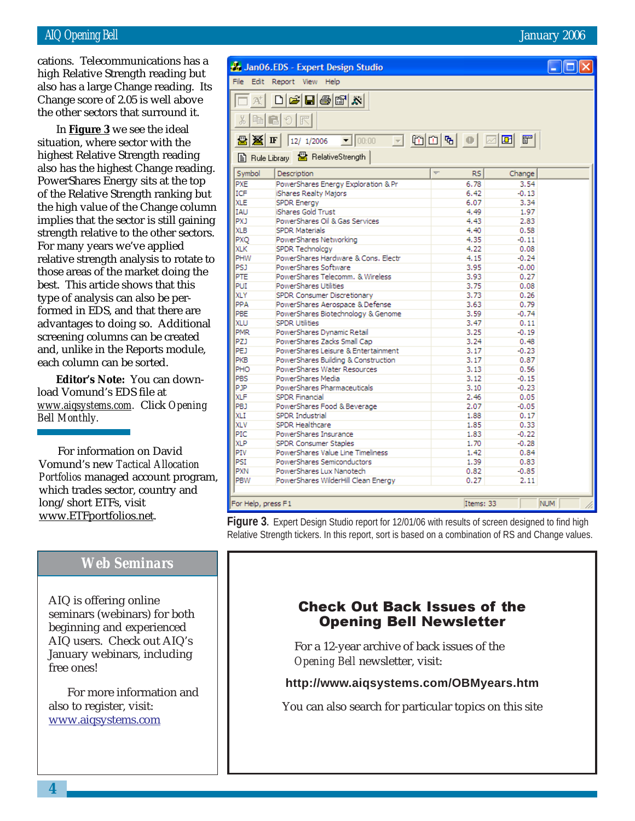## AIQ Opening Bell January 2006

Change score of 2.05 is well above cations. Telecommunications has a high Relative Strength reading but also has a large Change reading. Its the other sectors that surround it.

In **Figure 3** we see the ideal situation, where sector with the highest Relative Strength reading also has the highest Change reading. PowerShares Energy sits at the top of the Relative Strength ranking but the high value of the Change column implies that the sector is still gaining strength relative to the other sectors. For many years we've applied relative strength analysis to rotate to those areas of the market doing the best. This article shows that this type of analysis can also be performed in EDS, and that there are advantages to doing so. Additional screening columns can be created and, unlike in the Reports module, each column can be sorted.

**Editor's Note:** You can download Vomund's EDS file at *www.aiqsystems.com.* Click *Opening Bell Monthly.*

For information on David Vomund's new *Tactical Allocation Portfolios* managed account program, which trades sector, country and long/short ETFs, visit www.ETFportfolios.net.

## *Web Seminars*

AIQ is offering online seminars (webinars) for both beginning and experienced AIQ users. Check out AIQ's January webinars, including free ones!

For more information and also to register, visit: www.aiqsystems.com

|                              | Jan06.EDS - Expert Design Studio               |                                       | $\Box$ o $\boxtimes$ |
|------------------------------|------------------------------------------------|---------------------------------------|----------------------|
|                              | File Edit Report View Help                     |                                       |                      |
| $\mathcal{P}^+_{\mathbb{Q}}$ | $\bigcap$ e H $\bigoplus$ M $\bigtriangledown$ |                                       |                      |
| 晒<br>š,                      | <b>G</b><br>民                                  |                                       |                      |
| 圖图正                          | 12/ 1/2006     00:00                           | 그 예미에 이 피퍼 티                          |                      |
|                              | 图 Rule Library & RelativeStrength              |                                       |                      |
| Symbol                       | Description                                    | $\overline{\phantom{a}}$<br><b>RS</b> | Change               |
| PXE                          | PowerShares Energy Exploration & Pr            | 6.78                                  | 3.54                 |
| <b>ICF</b>                   | iShares Realty Majors                          | 6.42                                  | $-0.13$              |
| <b>XLE</b>                   | <b>SPDR Energy</b>                             | 6.07                                  | 3.34                 |
| <b>TAU</b>                   | iShares Gold Trust                             | 4.49                                  | 1.97                 |
| <b>PXJ</b>                   | PowerShares Oil & Gas Services                 | 4.43                                  | 2.83                 |
| <b>XLB</b>                   | <b>SPDR Materials</b>                          | 4.40                                  | 0.58                 |
| PXO                          | PowerShares Networking                         | 4.35                                  | $-0.11$              |
| <b>XLK</b>                   | SPDR Technolcav                                | 4.22                                  | 0.08                 |
| PHW                          | PowerShares Hardware & Cons, Electr            | 4.15                                  | $-0.24$              |
| PS <sub>1</sub>              | PowerShares Software                           | 3.95                                  | $-0.00$              |
| PTE                          | PowerShares Telecomm, & Wireless               | 3.93                                  | 0.27                 |
| PUI                          | PowerShares Utilities                          | 3.75                                  | 0.08                 |
| <b>XLY</b>                   | SPDR Consumer Discretionary                    | 3.73                                  | 0.26                 |
| PPA                          | PowerShares Aerospace & Defense                | 3.63                                  | 0.79                 |
| PBE                          | PowerShares Biotechnology & Genome             | 3.59                                  | $-0.74$              |
| XLU                          | <b>SPDR Utilities</b>                          | 3.47                                  | 0.11                 |
| <b>PMR</b>                   | PowerShares Dynamic Retail                     | 3.25                                  | $-0.19$              |
| PZ)                          | PowerShares Zacks Small Cap                    | 3.24                                  | 0.48                 |
| PEJ                          | PowerShares Leisure & Entertainment            | 3.17                                  | $-0.23$              |
| PKB                          | PowerShares Building & Construction            | 3.17                                  | 0.87                 |
| PHO                          | PowerShares Water Resources                    | 3.13                                  | 0.56                 |
| PBS                          | PowerShares Media                              | 3.12                                  | $-0.15$              |
| PJP                          | PowerShares Pharmaceuticals                    | 3.10                                  | $-0.23$              |
| <b>XLF</b>                   | SPDR Financial                                 | 2.46                                  | 0.05                 |
| PBJ                          | PowerShares Food & Beverage                    | 2.07                                  | $-0.05$              |
| <b>XLI</b>                   | SPDR Industrial                                | 1,88                                  | 0.17                 |
| <b>XLV</b>                   | SPDR Healthcare                                | 1.85                                  | 0.33                 |
| PIC                          | PowerShares Insurance                          | 1.83                                  | $-0.22$              |
| <b>XLP</b>                   | SPDR Consumer Staples                          | 1.70                                  | $-0.28$              |
| PIV                          | PowerShares Value Line Timeliness              | 1.42                                  | 0.84                 |
| PSI                          | PowerShares Semiconductors                     | 1.39                                  | 0.83                 |
| <b>PXN</b>                   | PowerShares Lux Nanotech                       | 0.82                                  | $-0.85$              |
| PBW                          | PowerShares WilderHill Clean Energy            | 0.27                                  | 2.11                 |

For Help, press F1

**Figure 3.** Expert Design Studio report for 12/01/06 with results of screen designed to find high Relative Strength tickers. In this report, sort is based on a combination of RS and Change values.

## Check Out Back Issues of the Opening Bell Newsletter

For a 12-year archive of back issues of the *Opening Bell* newsletter, visit:

## **http://www.aiqsystems.com/OBMyears.htm**

You can also search for particular topics on this site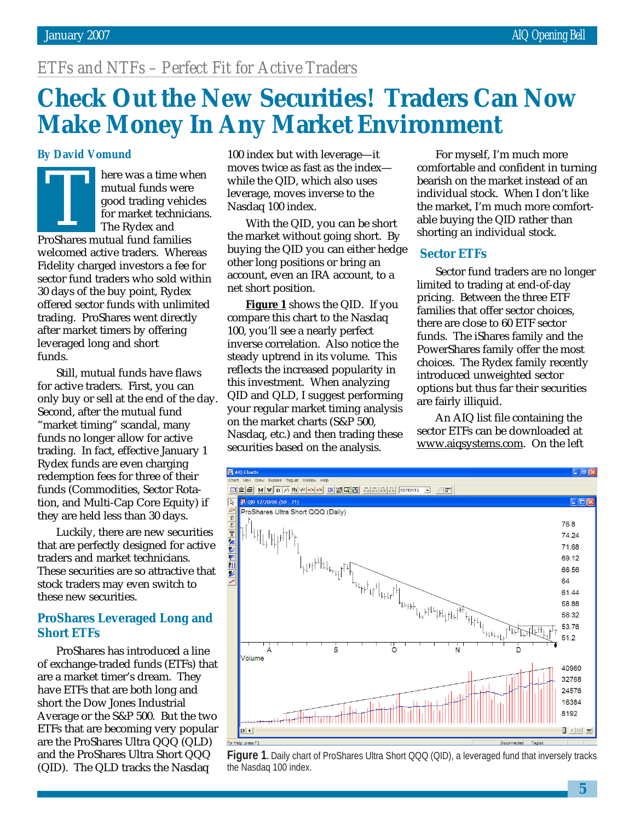# *ETFs and NTFs – Perfect Fit for Active Traders*

# **Check Out the New Securities! Traders Can Now Make Money In Any Market Environment**

## **By David Vomund**

here was a time when mutual funds were good trading vehicles for market technicians. The Rydex and Process a time with<br>
mutual funds were<br>
good trading vehic<br>
for market technici<br>
The Rydex and<br>
ProShares mutual fund families welcomed active traders. Whereas Fidelity charged investors a fee for sector fund traders who sold within 30 days of the buy point, Rydex offered sector funds with unlimited trading. ProShares went directly after market timers by offering leveraged long and short funds.

Still, mutual funds have flaws for active traders. First, you can only buy or sell at the end of the day. Second, after the mutual fund "market timing" scandal, many funds no longer allow for active trading. In fact, effective January 1 Rydex funds are even charging redemption fees for three of their funds (Commodities, Sector Rotation, and Multi-Cap Core Equity) if they are held less than 30 days.

Luckily, there are new securities that are perfectly designed for active traders and market technicians. These securities are so attractive that stock traders may even switch to these new securities.

## **ProShares Leveraged Long and Short ETFs**

ProShares has introduced a line of exchange-traded funds (ETFs) that are a market timer's dream. They have ETFs that are both long and short the Dow Jones Industrial Average or the S&P 500. But the two ETFs that are becoming very popular are the ProShares Ultra QQQ (QLD) and the ProShares Ultra Short QQQ (QID). The QLD tracks the Nasdaq

100 index but with leverage—it moves twice as fast as the index while the QID, which also uses leverage, moves inverse to the Nasdaq 100 index.

With the QID, you can be short the market without going short. By buying the QID you can either hedge other long positions or bring an account, even an IRA account, to a net short position.

**Figure 1** shows the QID. If you compare this chart to the Nasdaq 100, you'll see a nearly perfect inverse correlation. Also notice the steady uptrend in its volume. This reflects the increased popularity in this investment. When analyzing QID and QLD, I suggest performing your regular market timing analysis on the market charts (S&P 500, Nasdaq, etc.) and then trading these securities based on the analysis.

For myself, I'm much more comfortable and confident in turning bearish on the market instead of an individual stock. When I don't like the market, I'm much more comfortable buying the QID rather than shorting an individual stock.

## **Sector ETFs**

Sector fund traders are no longer limited to trading at end-of-day pricing. Between the three ETF families that offer sector choices, there are close to 60 ETF sector funds. The iShares family and the PowerShares family offer the most choices. The Rydex family recently introduced unweighted sector options but thus far their securities are fairly illiquid.

An AIQ list file containing the sector ETFs can be downloaded at www.aiqsystems.com. On the left



**Figure 1.** Daily chart of ProShares Ultra Short QQQ (QID), a leveraged fund that inversely tracks the Nasdaq 100 index.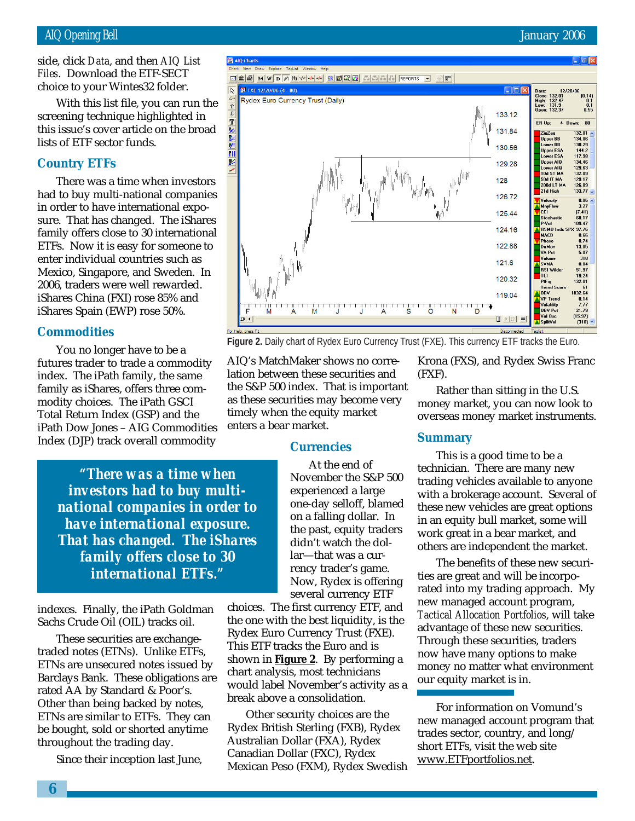side, click *Data*, and then *AIQ List Files*. Download the ETF-SECT choice to your Wintes32 folder.

AIO Charts

FXE 12/20/06 (4 - 80)

Rydex Euro Currency Trust (Daily)

 $\overline{\mathbb{R}}$ 

bice to your Wintes32 f<br>With this list file, you<br>eening technique highl<br>s issue's cover article of<br>s of ETF sector funds. With this list file, you can run the screening technique highlighted in this issue's cover article on the broad lists of ETF sector funds.

## **Country ETFs**

There was a time when investors had to buy multi-national companies in order to have international exposure. That has changed. The iShares family offers close to 30 international ETFs. Now it is easy for someone to enter individual countries such as Mexico, Singapore, and Sweden. In 2006, traders were well rewarded. iShares China (FXI) rose 85% and iShares Spain (EWP) rose 50%.

## **Commodities**

You no longer have to be a futures trader to trade a commodity index. The iPath family, the same family as iShares, offers three commodity choices. The iPath GSCI Total Return Index (GSP) and the iPath Dow Jones – AIG Commodities Index (DJP) track overall commodity

> *"There was a time when investors had to buy multinational companies in order to have international exposure. That has changed. The iShares family offers close to 30 international ETFs."*

indexes. Finally, the iPath Goldman Sachs Crude Oil (OIL) tracks oil.

These securities are exchangetraded notes (ETNs). Unlike ETFs, ETNs are unsecured notes issued by Barclays Bank. These obligations are rated AA by Standard & Poor's. Other than being backed by notes, ETNs are similar to ETFs. They can be bought, sold or shorted anytime throughout the trading day.

Since their inception last June,



**Figure 2.** Daily chart of Rydex Euro Currency Trust (FXE). This currency ETF tracks the Euro.

AIQ's MatchMaker shows no correlation between these securities and the S&P 500 index. That is important as these securities may become very timely when the equity market enters a bear market.

**ZA M V D M W M M R Z Z Z Z A E REPORTS** 

## **Currencies**

At the end of November the S&P 500 experienced a large one-day selloff, blamed on a falling dollar. In the past, equity traders didn't watch the dollar—that was a currency trader's game. Now, Rydex is offering several currency ETF

choices. The first currency ETF, and the one with the best liquidity, is the Rydex Euro Currency Trust (FXE). This ETF tracks the Euro and is shown in **Figure 2**. By performing a chart analysis, most technicians would label November's activity as a break above a consolidation.

Other security choices are the Rydex British Sterling (FXB), Rydex Australian Dollar (FXA), Rydex Canadian Dollar (FXC), Rydex Mexican Peso (FXM), Rydex Swedish Krona (FXS), and Rydex Swiss Franc (FXF).

Rather than sitting in the U.S. money market, you can now look to overseas money market instruments.

## **Summary**

This is a good time to be a technician. There are many new trading vehicles available to anyone with a brokerage account. Several of these new vehicles are great options in an equity bull market, some will work great in a bear market, and others are independent the market.

The benefits of these new securities are great and will be incorporated into my trading approach. My new managed account program, *Tactical Allocation Portfolios*, will take advantage of these new securities. Through these securities, traders now have many options to make money no matter what environment our equity market is in.

For information on Vomund's new managed account program that trades sector, country, and long/ short ETFs, visit the web site www.ETFportfolios.net.

Date: 132.01<br>High: 132.47<br>Low: 131.9<br>Open: 132.37

ER Up:

133.12

 $\begin{array}{c} \textbf{0.1} \\ \textbf{0.55} \end{array}$ 

80